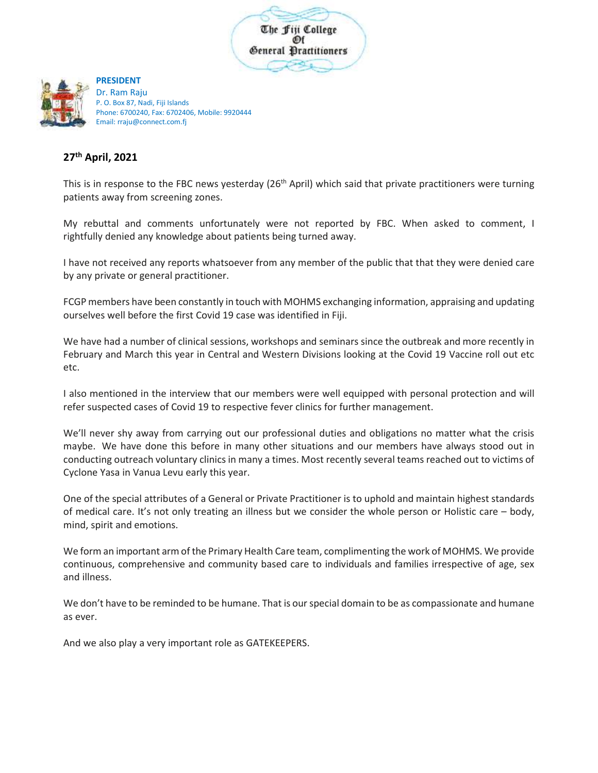



**PRESIDENT** Dr. Ram Raju P. O. Box 87, Nadi, Fiji Islands Phone: 6700240, Fax: 6702406, Mobile: 9920444 Email: rraju@connect.com.fj

## **27th April, 2021**

This is in response to the FBC news yesterday (26<sup>th</sup> April) which said that private practitioners were turning patients away from screening zones.

My rebuttal and comments unfortunately were not reported by FBC. When asked to comment, I rightfully denied any knowledge about patients being turned away.

I have not received any reports whatsoever from any member of the public that that they were denied care by any private or general practitioner.

FCGP members have been constantly in touch with MOHMS exchanging information, appraising and updating ourselves well before the first Covid 19 case was identified in Fiji.

We have had a number of clinical sessions, workshops and seminars since the outbreak and more recently in February and March this year in Central and Western Divisions looking at the Covid 19 Vaccine roll out etc etc.

I also mentioned in the interview that our members were well equipped with personal protection and will refer suspected cases of Covid 19 to respective fever clinics for further management.

We'll never shy away from carrying out our professional duties and obligations no matter what the crisis maybe. We have done this before in many other situations and our members have always stood out in conducting outreach voluntary clinics in many a times. Most recently several teams reached out to victims of Cyclone Yasa in Vanua Levu early this year.

One of the special attributes of a General or Private Practitioner is to uphold and maintain highest standards of medical care. It's not only treating an illness but we consider the whole person or Holistic care – body, mind, spirit and emotions.

We form an important armof the Primary Health Care team, complimenting the work of MOHMS. We provide continuous, comprehensive and community based care to individuals and families irrespective of age, sex and illness.

We don't have to be reminded to be humane. That is our special domain to be as compassionate and humane as ever.

And we also play a very important role as GATEKEEPERS.